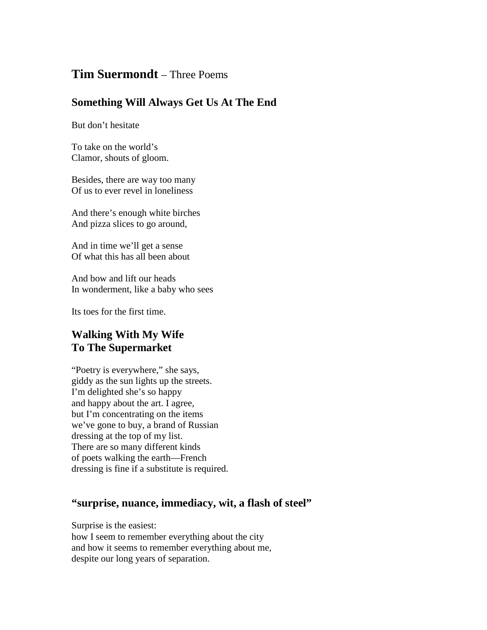## **Tim Suermondt** – Three Poems

## **Something Will Always Get Us At The End**

But don't hesitate

To take on the world's Clamor, shouts of gloom.

Besides, there are way too many Of us to ever revel in loneliness

And there's enough white birches And pizza slices to go around,

And in time we'll get a sense Of what this has all been about

And bow and lift our heads In wonderment, like a baby who sees

Its toes for the first time.

## **Walking With My Wife To The Supermarket**

"Poetry is everywhere," she says, giddy as the sun lights up the streets. I'm delighted she's so happy and happy about the art. I agree, but I'm concentrating on the items we've gone to buy, a brand of Russian dressing at the top of my list. There are so many different kinds of poets walking the earth—French dressing is fine if a substitute is required.

## **"surprise, nuance, immediacy, wit, a flash of steel"**

Surprise is the easiest:

how I seem to remember everything about the city and how it seems to remember everything about me, despite our long years of separation.